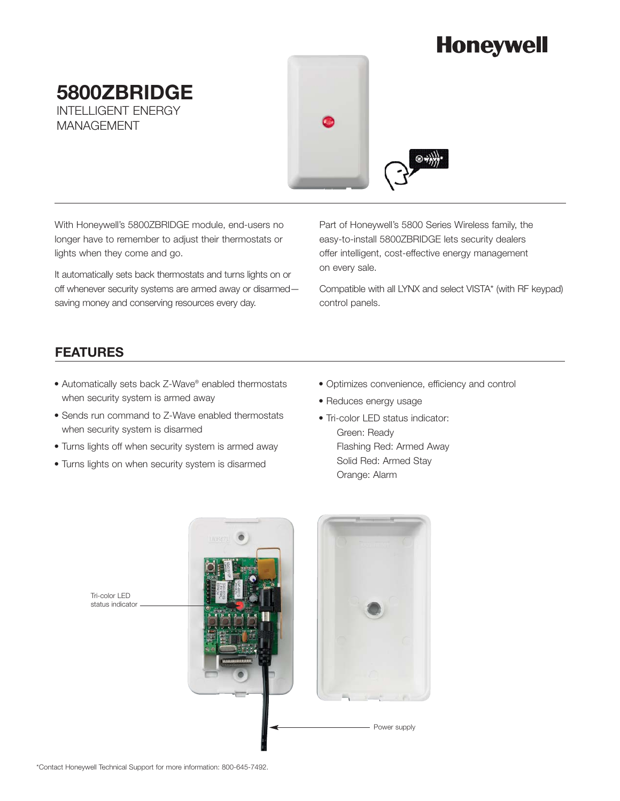# **Honeywell**

**5800ZBRIDGE** INTELLIGENT ENERGY MANAGEMENT



With Honeywell's 5800ZBRIDGE module, end-users no longer have to remember to adjust their thermostats or lights when they come and go.

It automatically sets back thermostats and turns lights on or off whenever security systems are armed away or disarmed saving money and conserving resources every day.

Part of Honeywell's 5800 Series Wireless family, the easy-to-install 5800ZBRIDGE lets security dealers offer intelligent, cost-effective energy management on every sale.

Compatible with all LYNX and select VISTA\* (with RF keypad) control panels.

## **FEATURES**

- Automatically sets back Z-Wave® enabled thermostats when security system is armed away
- Sends run command to Z-Wave enabled thermostats when security system is disarmed
- Turns lights off when security system is armed away
- Turns lights on when security system is disarmed
- Optimizes convenience, efficiency and control
- Reduces energy usage
- Tri-color LED status indicator:
	- Green: Ready Flashing Red: Armed Away Solid Red: Armed Stay Orange: Alarm